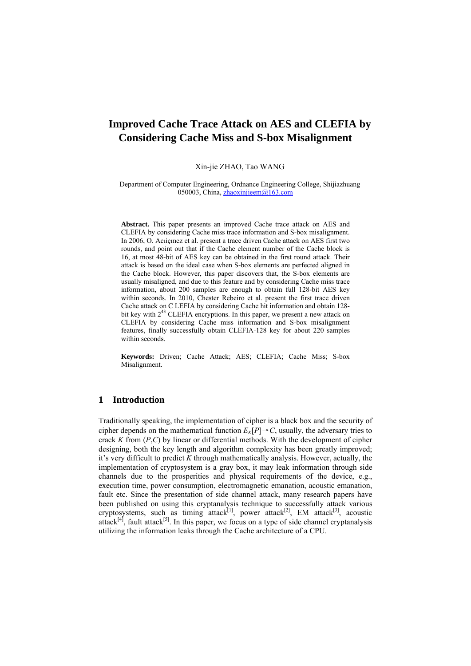Xin-jie ZHAO, Tao WANG

Department of Computer Engineering, Ordnance Engineering College, Shijiazhuang 050003, China, [zhaoxinjieem@163.com](mailto:zhaoxinjieem@163.com)

**Abstract.** This paper presents an improved Cache trace attack on AES and CLEFIA by considering Cache miss trace information and S-box misalignment. In 2006, O. Acıiçmez et al. present a trace driven Cache attack on AES first two rounds, and point out that if the Cache element number of the Cache block is 16, at most 48-bit of AES key can be obtained in the first round attack. Their attack is based on the ideal case when S-box elements are perfected aligned in the Cache block. However, this paper discovers that, the S-box elements are usually misaligned, and due to this feature and by considering Cache miss trace information, about 200 samples are enough to obtain full 128-bit AES key within seconds. In 2010, Chester Rebeiro et al. present the first trace driven Cache attack on C LEFIA by considering Cache hit information and obtain 128 bit key with  $2^{43}$  CLEFIA encryptions. In this paper, we present a new attack on CLEFIA by considering Cache miss information and S-box misalignment features, finally successfully obtain CLEFIA-128 key for about 220 samples within seconds.

**Keywords:** Driven; Cache Attack; AES; CLEFIA; Cache Miss; S-box Misalignment.

# **1 Introduction**

Traditionally speaking, the implementation of cipher is a black box and the security of cipher depends on the mathematical function  $E_k[P] \to C$ , usually, the adversary tries to crack *K* from (*P*,*C*) by linear or differential methods. With the development of cipher designing, both the key length and algorithm complexity has been greatly improved; it's very difficult to predict *K* through mathematically analysis. However, actually, the implementation of cryptosystem is a gray box, it may leak information through side channels due to the prosperities and physical requirements of the device, e.g., execution time, power consumption, electromagnetic emanation, acoustic emanation, fault etc. Since the presentation of side channel attack, many research papers have been published on using this cryptanalysis technique to successfully attack various cryptosystems, such as timing attack<sup>[1]</sup>, power attack<sup>[2]</sup>, EM attack<sup>[3]</sup>, acoustic attack<sup>[4]</sup>, fault attack<sup>[5]</sup>. In this paper, we focus on a type of side channel cryptanalysis utilizing the information leaks through the Cache architecture of a CPU.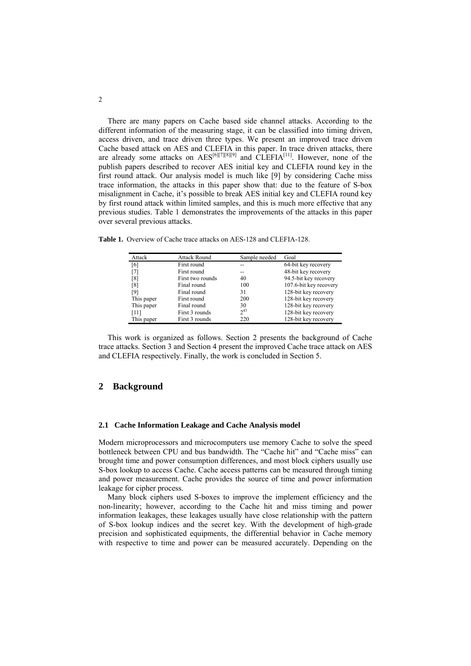There are many papers on Cache based side channel attacks. According to the different information of the measuring stage, it can be classified into timing driven, access driven, and trace driven three types. We present an improved trace driven Cache based attack on AES and CLEFIA in this paper. In trace driven attacks, there are already some attacks on  $\text{AES}^{[6][7][8][9]}$  $\text{AES}^{[6][7][8][9]}$  $\text{AES}^{[6][7][8][9]}$  $\text{AES}^{[6][7][8][9]}$  $\text{AES}^{[6][7][8][9]}$  $\text{AES}^{[6][7][8][9]}$  $\text{AES}^{[6][7][8][9]}$  and CLEFIA<sup>[11]</sup>. However, none of the publish papers described to recover AES initial key and CLEFIA round key in the first round attack. Our analysis model is much like [\[9](#page-16-8)] by considering Cache miss trace information, the attacks in this paper show that: due to the feature of S-box misalignment in Cache, it's possible to break AES initial key and CLEFIA round key by first round attack within limited samples, and this is much more effective that any previous studies. Table 1 demonstrates the improvements of the attacks in this paper over several previous attacks.

| Attack            | <b>Attack Round</b> | Sample needed | Goal                   |
|-------------------|---------------------|---------------|------------------------|
| [6]               | First round         | --            | 64-bit key recovery    |
| [7]               | First round         | --            | 48-bit key recovery    |
| $\lceil 8 \rceil$ | First two rounds    | 40            | 94.5-bit key recovery  |
| $\lceil 8 \rceil$ | Final round         | 100           | 107.6-bit key recovery |
| [9]               | Final round         | 31            | 128-bit key recovery   |
| This paper        | First round         | 200           | 128-bit key recovery   |
| This paper        | Final round         | 30            | 128-bit key recovery   |
| [11]              | First 3 rounds      | $2^{43}$      | 128-bit key recovery   |
| This paper        | First 3 rounds      | 220           | 128-bit key recovery   |

**Table 1.** Overview of Cache trace attacks on AES-128 and CLEFIA-128.

This work is organized as follows. Section 2 presents the background of Cache trace attacks. Section 3 and Section 4 present the improved Cache trace attack on AES and CLEFIA respectively. Finally, the work is concluded in Section 5.

# **2 Background**

#### **2.1 Cache Information Leakage and Cache Analysis model**

Modern microprocessors and microcomputers use memory Cache to solve the speed bottleneck between CPU and bus bandwidth. The "Cache hit" and "Cache miss" can brought time and power consumption differences, and most block ciphers usually use S-box lookup to access Cache. Cache access patterns can be measured through timing and power measurement. Cache provides the source of time and power information leakage for cipher process.

Many block ciphers used S-boxes to improve the implement efficiency and the non-linearity; however, according to the Cache hit and miss timing and power information leakages, these leakages usually have close relationship with the pattern of S-box lookup indices and the secret key. With the development of high-grade precision and sophisticated equipments, the differential behavior in Cache memory with respective to time and power can be measured accurately. Depending on the

2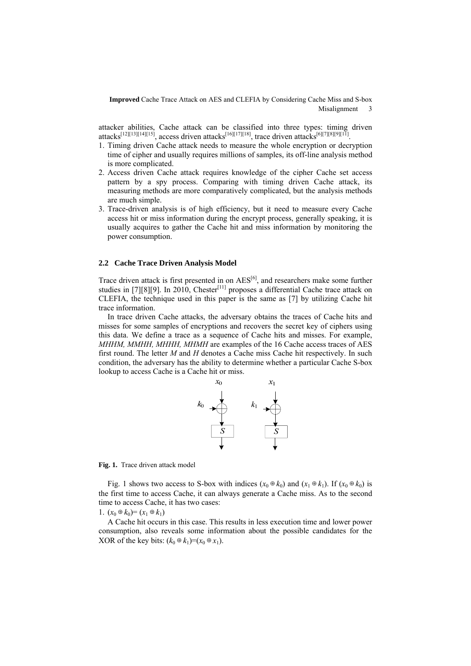attacker abilities, Cache attack can be classified into three types: timing driven attacks<sup>[[12](#page-17-1)][13][14][[15\]](#page-17-4)</sup>, access driven attacks<sup>[[16](#page-17-5)][[17](#page-17-6)][[18](#page-17-7)]</sup>, trace driven attacks<sup>[\[6](#page-16-5)][\[](#page-16-7)7][8][9][[11\]](#page-17-0).</sup>

- 1. Timing driven Cache attack needs to measure the whole encryption or decryption time of cipher and usually requires millions of samples, its off-line analysis method is more complicated.
- 2. Access driven Cache attack requires knowledge of the cipher Cache set access pattern by a spy process. Comparing with timing driven Cache attack, its measuring methods are more comparatively complicated, but the analysis methods are much simple.
- 3. Trace-driven analysis is of high efficiency, but it need to measure every Cache access hit or miss information during the encrypt process, generally speaking, it is usually acquires to gather the Cache hit and miss information by monitoring the power consumption.

### **2.2 Cache Trace Driven Analysis Model**

Trace driven attack is first presented in on  $\text{AES}^{[6]}$ , and researchers make some further studies in [[7\]](#page-16-6)[[8\]](#page-16-7)[\[9](#page-16-8)]. In 2010, Chester<sup>[11]</sup> proposes a differential Cache trace attack on CLEFIA, the technique used in this paper is the same as [\[7](#page-16-6)] by utilizing Cache hit trace information.

In trace driven Cache attacks, the adversary obtains the traces of Cache hits and misses for some samples of encryptions and recovers the secret key of ciphers using this data. We define a trace as a sequence of Cache hits and misses. For example, *MHHM, MMHH, MHHH, MHMH* are examples of the 16 Cache access traces of AES first round. The letter *M* and *H* denotes a Cache miss Cache hit respectively. In such condition, the adversary has the ability to determine whether a particular Cache S-box lookup to access Cache is a Cache hit or miss.



**Fig. 1.** Trace driven attack model

Fig. 1 shows two access to S-box with indices  $(x_0 \oplus k_0)$  and  $(x_1 \oplus k_1)$ . If  $(x_0 \oplus k_0)$  is the first time to access Cache, it can always generate a Cache miss. As to the second time to access Cache, it has two cases:

1.  $(x_0 \oplus k_0) = (x_1 \oplus k_1)$ 

A Cache hit occurs in this case. This results in less execution time and lower power consumption, also reveals some information about the possible candidates for the XOR of the key bits:  $(k_0 \oplus k_1)=(x_0 \oplus x_1)$ .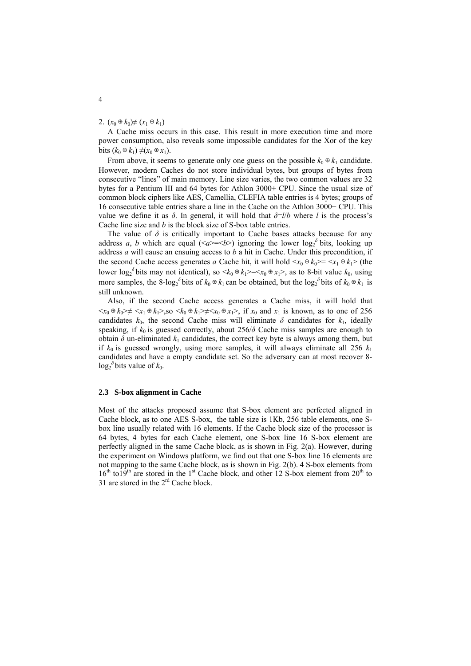### 2.  $(x_0 \oplus k_0) \neq (x_1 \oplus k_1)$

A Cache miss occurs in this case. This result in more execution time and more power consumption, also reveals some impossible candidates for the Xor of the key bits  $(k_0 \oplus k_1) \neq (x_0 \oplus x_1)$ .

From above, it seems to generate only one guess on the possible  $k_0 \oplus k_1$  candidate. However, modern Caches do not store individual bytes, but groups of bytes from consecutive "lines" of main memory. Line size varies, the two common values are 32 bytes for a Pentium III and 64 bytes for Athlon 3000+ CPU. Since the usual size of common block ciphers like AES, Camellia, CLEFIA table entries is 4 bytes; groups of 16 consecutive table entries share a line in the Cache on the Athlon 3000+ CPU. This value we define it as  $\delta$ . In general, it will hold that  $\delta = l/b$  where *l* is the process's Cache line size and *b* is the block size of S-box table entries.

The value of  $\delta$  is critically important to Cache bases attacks because for any address *a*, *b* which are equal  $(\langle a \rangle = \langle b \rangle)$  ignoring the lower log<sub>2</sub><sup>3</sup> bits, looking up address *a* will cause an ensuing access to *b* a hit in Cache. Under this precondition, if the second Cache access generates *a* Cache hit, it will hold  $\langle x_0 \oplus k_0 \rangle = \langle x_1 \oplus k_1 \rangle$  (the lower  $\log_2^{\delta}$  bits may not identical), so  $\langle k_0 \oplus k_1 \rangle = \langle x_0 \oplus x_1 \rangle$ , as to 8-bit value  $k_0$ , using more samples, the 8-log<sub>2</sub><sup> $\delta$ </sup> bits of  $k_0 \oplus k_1$  can be obtained, but the log<sub>2</sub><sup> $\delta$ </sup> bits of  $k_0 \oplus k_1$  is still unknown.

Also, if the second Cache access generates a Cache miss, it will hold that  $\langle x_0 \oplus k_0 \rangle \neq \langle x_1 \oplus k_1 \rangle$ , so  $\langle k_0 \oplus k_1 \rangle \neq \langle x_0 \oplus x_1 \rangle$ , if  $x_0$  and  $x_1$  is known, as to one of 256 candidates  $k_0$ , the second Cache miss will eliminate  $\delta$  candidates for  $k_1$ , ideally speaking, if  $k_0$  is guessed correctly, about 256/ $\delta$  Cache miss samples are enough to obtain  $\delta$  un-eliminated  $k_1$  candidates, the correct key byte is always among them, but if  $k_0$  is guessed wrongly, using more samples, it will always eliminate all 256  $k_1$ candidates and have a empty candidate set. So the adversary can at most recover 8-  $\log_2$ <sup> $\delta$ </sup> bits value of  $k_0$ .

#### **2.3 S-box alignment in Cache**

Most of the attacks proposed assume that S-box element are perfected aligned in Cache block, as to one AES S-box, the table size is 1Kb, 256 table elements, one Sbox line usually related with 16 elements. If the Cache block size of the processor is 64 bytes, 4 bytes for each Cache element, one S-box line 16 S-box element are perfectly aligned in the same Cache block, as is shown in Fig. 2(a). However, during the experiment on Windows platform, we find out that one S-box line 16 elements are not mapping to the same Cache block, as is shown in Fig. 2(b). 4 S-box elements from  $16<sup>th</sup>$  to  $19<sup>th</sup>$  are stored in the 1<sup>st</sup> Cache block, and other 12 S-box element from  $20<sup>th</sup>$  to 31 are stored in the  $2<sup>rd</sup>$  Cache block.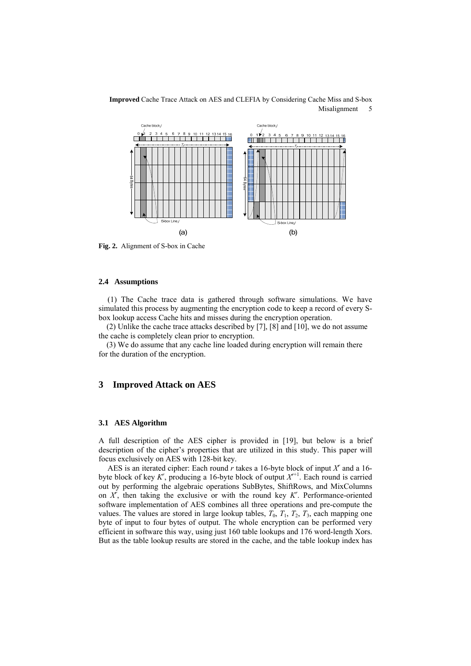

**Fig. 2.** Alignment of S-box in Cache

### **2.4 Assumptions**

(1) The Cache trace data is gathered through software simulations. We have simulated this process by augmenting the encryption code to keep a record of every Sbox lookup access Cache hits and misses during the encryption operation.

(2) Unlike the cache trace attacks described by [\[7](#page-16-6)], [\[8](#page-16-7)] and [\[10](#page-16-9)], we do not assume the cache is completely clean prior to encryption.

(3) We do assume that any cache line loaded during encryption will remain there for the duration of the encryption.

# **3 Improved Attack on AES**

#### **3.1 AES Algorithm**

A full description of the AES cipher is provided in [\[19](#page-17-8)], but below is a brief description of the cipher's properties that are utilized in this study. This paper will focus exclusively on AES with 128-bit key.

AES is an iterated cipher: Each round  $r$  takes a 16-byte block of input  $X^r$  and a 16byte block of key  $K^r$ , producing a 16-byte block of output  $X^{r+1}$ . Each round is carried out by performing the algebraic operations SubBytes, ShiftRows, and MixColumns on *Xr* , then taking the exclusive or with the round key *Kr* . Performance-oriented software implementation of AES combines all three operations and pre-compute the values. The values are stored in large lookup tables,  $T_0$ ,  $T_1$ ,  $T_2$ ,  $T_3$ , each mapping one byte of input to four bytes of output. The whole encryption can be performed very efficient in software this way, using just 160 table lookups and 176 word-length Xors. But as the table lookup results are stored in the cache, and the table lookup index has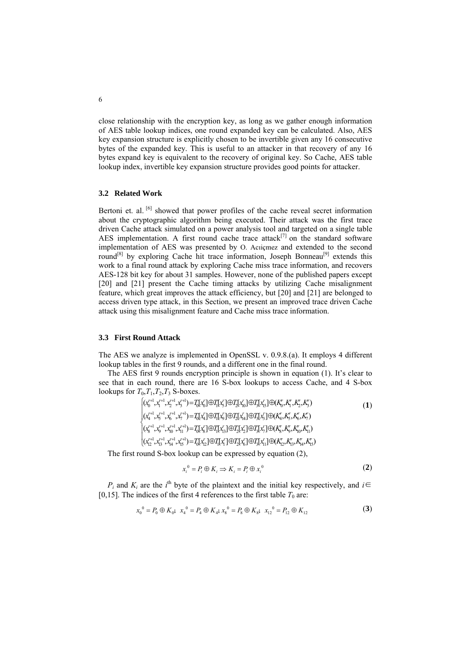close relationship with the encryption key, as long as we gather enough information of AES table lookup indices, one round expanded key can be calculated. Also, AES key expansion structure is explicitly chosen to be invertible given any 16 consecutive bytes of the expanded key. This is useful to an attacker in that recovery of any 16 bytes expand key is equivalent to the recovery of original key. So Cache, AES table lookup index, invertible key expansion structure provides good points for attacker.

#### **3.2 Related Work**

Bertoni et. al. <sup>[[6\]](#page-16-5)</sup> showed that power profiles of the cache reveal secret information about the cryptographic algorithm being executed. Their attack was the first trace driven Cache attack simulated on a power analysis tool and targeted on a single table AES implementation. A first round cache trace attack $[7]$  $[7]$  $[7]$  on the standard software implementation of AES was presented by O. Acıiçmez and extended to the second round<sup>[\[](#page-16-7)8]</sup> by exploring Cache hit trace information, Joseph Bonneau<sup>[9]</sup> extends this work to a final round attack by exploring Cache miss trace information, and recovers AES-128 bit key for about 31 samples. However, none of the published papers except [\[20](#page-17-9)] and [\[21](#page-17-10)] present the Cache timing attacks by utilizing Cache misalignment feature, which great improves the attack efficiency, but [[20\]](#page-17-9) and [[21\]](#page-17-10) are belonged to access driven type attack, in this Section, we present an improved trace driven Cache attack using this misalignment feature and Cache miss trace information.

#### **3.3 First Round Attack**

The AES we analyze is implemented in OpenSSL v. 0.9.8.(a). It employs 4 different lookup tables in the first 9 rounds, and a different one in the final round.

The AES first 9 rounds encryption principle is shown in equation (1). It's clear to see that in each round, there are 16 S-box lookups to access Cache, and 4 S-box lookups for  $T_0, T_1, T_2, T_3$  S-boxes.

$$
\begin{aligned}\n&\left[\left(x_{0}^{r+1},x_{1}^{r+1},x_{2}^{r+1},x_{3}^{r+1}\right)=\mathcal{I}_{0}^{r}\left[x_{0}^{r}\right]\oplus\mathcal{I}_{1}^{r}\left[x_{1}^{r}\right]\oplus\mathcal{I}_{2}^{r}\left[x_{1}^{r}\right]\oplus\mathcal{I}_{3}^{r}\left[x_{1}^{r}\right]\oplus\mathcal{K}_{0}^{r},K_{1}^{r},K_{2}^{r},K_{3}^{r}\right) \\
&\left(x_{4}^{r+1},x_{5}^{r+1},x_{6}^{r+1},x_{7}^{r+1}\right)=\mathcal{I}_{0}^{r}\left[x_{4}^{r}\right]\oplus\mathcal{I}_{1}^{r}\left[x_{3}^{r}\right]\oplus\mathcal{I}_{2}^{r}\left[x_{4}^{r}\right]\oplus\mathcal{I}_{3}^{r}\left[x_{3}^{r}\right]\oplus\mathcal{K}_{4}^{r},K_{5}^{r},K_{6}^{r},K_{7}^{r}\right) \\
&\left(x_{6}^{r+1},x_{6}^{r+1},x_{11}^{r+1},x_{11}^{r+1}\right)=\mathcal{I}_{0}^{r}\left[x_{3}^{r}\right]\oplus\mathcal{I}_{1}^{r}\left[x_{1}^{r}\right]\oplus\mathcal{I}_{2}^{r}\left[x_{2}^{r}\right]\oplus\mathcal{I}_{3}^{r}\left[x_{1}^{r}\right]\oplus\mathcal{K}_{4}^{r},K_{5}^{r},K_{10}^{r},K_{11}^{r}\right) \\
&\left(x_{12}^{r+1},x_{13}^{r+1},x_{14}^{r+1},x_{15}^{r+1}\right)=\mathcal{I}_{0}^{r}\left[x_{12}^{r}\right]\oplus\mathcal{I}_{1}^{r}\left[x_{1}^{r}\right]\oplus\mathcal{I}_{2}^{r}\left[x_{4}^{r}\right]\oplus\mathcal{I}_{3}^{r}\left[x_{1}^{r}\right]\oplus\mathcal{I}_{4}^{r}\left[x_{1}^{r}\right]\oplus\mathcal{I}_{4}^{r},K_{15}^{r},K_{16}^{r},K_{17}^{r},K_{18}^{r}\right)\n\end{aligned} \tag{1}
$$

The first round S-box lookup can be expressed by equation (2),

$$
x_i^0 = P_i \oplus K_i \Rightarrow K_i = P_i \oplus x_i^0 \tag{2}
$$

*P<sub>i</sub>* and  $K_i$  are the *i*<sup>th</sup> byte of the plaintext and the initial key respectively, and *i*∈ [0,15]. The indices of the first 4 references to the first table  $T_0$  are:

$$
x_0^0 = P_0 \oplus K_0; \ \ x_4^0 = P_4 \oplus K_4; \ x_8^0 = P_8 \oplus K_8; \ \ x_{12}^0 = P_{12} \oplus K_{12}
$$
 (3)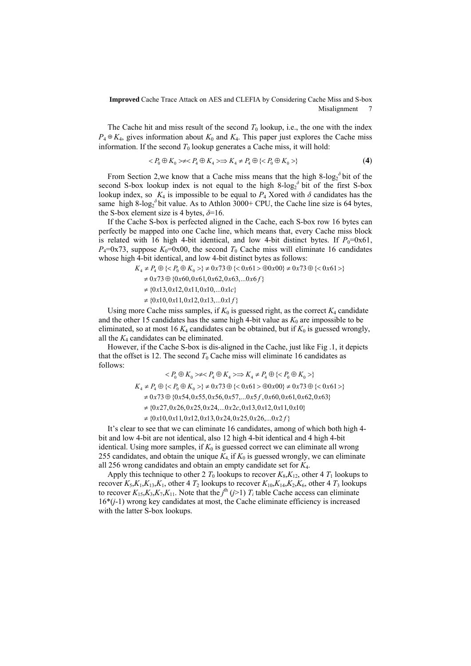The Cache hit and miss result of the second  $T_0$  lookup, i.e., the one with the index  $P_4 \oplus K_4$ , gives information about  $K_0$  and  $K_4$ . This paper just explores the Cache miss information. If the second  $T_0$  lookup generates a Cache miss, it will hold:

$$
\langle P_0 \oplus K_0 \rangle \neq \langle P_4 \oplus K_4 \rangle \Longrightarrow K_4 \neq P_4 \oplus \langle \langle P_0 \oplus K_0 \rangle \rangle \tag{4}
$$

From Section 2, we know that a Cache miss means that the high  $8-\log_2^{\delta}$  bit of the second S-box lookup index is not equal to the high  $8-\log_2^{\delta}$  bit of the first S-box lookup index, so  $K_4$  is impossible to be equal to  $P_4$  Xored with  $\delta$  candidates has the same high  $8$ -log<sub>2</sub><sup> $\delta$ </sup> bit value. As to Athlon 3000+ CPU, the Cache line size is 64 bytes, the S-box element size is 4 bytes,  $\delta = 16$ .

If the Cache S-box is perfected aligned in the Cache, each S-box row 16 bytes can perfectly be mapped into one Cache line, which means that, every Cache miss block is related with 16 high 4-bit identical, and low 4-bit distinct bytes. If  $P_0$ =0x61,  $P_4$ =0x73, suppose  $K_0$ =0x00, the second  $T_0$  Cache miss will eliminate 16 candidates whose high 4-bit identical, and low 4-bit distinct bytes as follows:

$$
K_4 \neq P_4 \oplus \{\} \neq 0 \times 73 \oplus \{<0 \times 61> \oplus 0 \times 00\} \neq 0 \times 73 \oplus \{<0 \times 61>\}
$$
  
\n
$$
\neq 0 \times 73 \oplus \{0 \times 60, 0 \times 61, 0 \times 62, 0 \times 63, \dots 0 \times 6f\}
$$
  
\n
$$
\neq \{0 \times 13, 0 \times 12, 0 \times 11, 0 \times 10, \dots 0 \times 1c\}
$$
  
\n
$$
\neq \{0 \times 10, 0 \times 11, 0 \times 12, 0 \times 13, \dots 0 \times 1f\}
$$

Using more Cache miss samples, if  $K_0$  is guessed right, as the correct  $K_4$  candidate and the other 15 candidates has the same high 4-bit value as  $K_0$  are impossible to be eliminated, so at most 16  $K_4$  candidates can be obtained, but if  $K_0$  is guessed wrongly, all the  $K_4$  candidates can be eliminated.

However, if the Cache S-box is dis-aligned in the Cache, just like Fig .1, it depicts that the offset is 12. The second  $T_0$  Cache miss will eliminate 16 candidates as follows:

$$
\langle P_0 \oplus K_0 \rangle \neq \langle P_4 \oplus K_4 \rangle \Rightarrow K_4 \neq P_4 \oplus \{ \langle P_0 \oplus K_0 \rangle \}
$$
  
\n
$$
K_4 \neq P_4 \oplus \{ \langle P_0 \oplus K_0 \rangle \} \neq 0 \times 73 \oplus \{ \langle 0 \times 61 \rangle \} \oplus 0 \times 00 \} \neq 0 \times 73 \oplus \{ \langle 0 \times 61 \rangle \}
$$
  
\n
$$
\neq 0 \times 73 \oplus \{ 0 \times 54, 0 \times 55, 0 \times 56, 0 \times 57, \dots 0 \times 5f, 0 \times 60, 0 \times 61, 0 \times 62, 0 \times 63 \}
$$
  
\n
$$
\neq \{ 0 \times 27, 0 \times 26, 0 \times 25, 0 \times 24, \dots 0 \times 2c, 0 \times 13, 0 \times 12, 0 \times 11, 0 \times 10 \}
$$
  
\n
$$
\neq \{ 0 \times 10, 0 \times 11, 0 \times 12, 0 \times 13, 0 \times 24, 0 \times 25, 0 \times 26, \dots 0 \times 2f \}
$$

It's clear to see that we can eliminate 16 candidates, among of which both high 4 bit and low 4-bit are not identical, also 12 high 4-bit identical and 4 high 4-bit identical. Using more samples, if  $K_0$  is guessed correct we can eliminate all wrong 255 candidates, and obtain the unique  $K_4$  if  $K_0$  is guessed wrongly, we can eliminate all 256 wrong candidates and obtain an empty candidate set for *K*4.

Apply this technique to other 2  $T_0$  lookups to recover  $K_8, K_{12}$ , other 4  $T_1$  lookups to recover  $K_5, K_1, K_1, K_1$ , other 4  $T_2$  lookups to recover  $K_{10}, K_{14}, K_2, K_6$ , other 4  $T_3$  lookups to recover  $K_{15}$ , $K_{3}$ , $K_{7}$ , $K_{11}$ . Note that the *j*<sup>th</sup> ( $j$ >1) *T<sub>i</sub>* table Cache access can eliminate 16\*(*j*-1) wrong key candidates at most, the Cache eliminate efficiency is increased with the latter S-box lookups.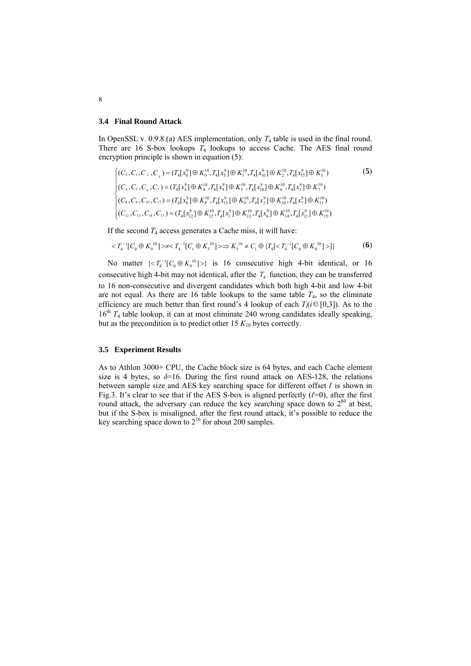#### **3.4 Final Round Attack**

In OpenSSL v. 0.9.8.(a) AES implementation, only *T*4 table is used in the final round. There are 16 S-box lookups *T*4 lookups to access Cache. The AES final round encryption principle is shown in equation (5):

$$
\begin{cases}\n(C_0, C_1, C_2, C_3) = (T_4[x_0^9] \oplus K_0^{10}, T_4[x_3^9] \oplus K_1^{10}, T_4[x_{10}^9] \oplus K_2^{10}, T_4[x_{15}^9] \oplus K_3^{10}) \\
(C_4, C_5, C_6, C_7) = (T_4[x_4^9] \oplus K_4^{10}, T_4[x_9^9] \oplus K_5^{10}, T_4[x_{14}^9] \oplus K_6^{10}, T_4[x_3^9] \oplus K_7^{10}) \\
(C_8, C_9, C_{10}, C_{11}) = (T_4[x_8^9] \oplus K_8^{10}, T_4[x_{13}^9] \oplus K_9^{10}, T_4[x_2^9] \oplus K_{10}^{10}, T_4[x_7^9] \oplus K_{11}^{10}) \\
(C_{12}, C_{13}, C_{14}, C_{15}) = (T_4[x_{12}^9] \oplus K_{12}^{10}, T_4[x_1^9] \oplus K_{13}^{10}, T_4[x_6^9] \oplus K_{14}^{10}, T_4[x_{11}^9] \oplus K_{15}^{10})\n\end{cases}
$$
\n(5)

If the second  $T_4$  access generates a Cache miss, it will have:

$$
\langle T_4^{-1}[C_0 \oplus K_0^{10}] \rangle \neq \langle T_4^{-1}[C_1 \oplus K_5^{10}] \rangle \Longrightarrow K_5^{10} \neq C_1 \oplus \{T_4[ \langle T_4^{-1}[C_0 \oplus K_0^{10}] \rangle] \} \tag{6}
$$

No matter  $\{ \langle T_4^{-1}[C_0 \oplus K_0^{10}] \rangle \}$  is 16 consecutive high 4-bit identical, or 16 consecutive high 4-bit may not identical, after the  $T_4$  function, they can be transferred to 16 non-consecutive and divergent candidates which both high 4-bit and low 4-bit are not equal. As there are 16 table lookups to the same table  $T_4$ , so the eliminate efficiency are much better than first round's 4 lookup of each  $T_i$  ( $i \in [0,3]$ ). As to the Eincreasely are much better than first found s 4 lookup of each  $T_A(t=0.5)$ . As to the 16<sup>th</sup>  $T_4$  table lookup, it can at most eliminate 240 wrong candidates ideally speaking, but as the precondition is to predict other  $15 K_{10}$  bytes correctly.

#### **3.5 Experiment Results**

As to Athlon 3000+ CPU, the Cache block size is 64 bytes, and each Cache element size is 4 bytes, so  $\delta$ =16. During the first round attack on AES-128, the relations between sample size and AES key searching space for different offset *ℓ* is shown in Fig.3. It's clear to see that if the AES S-box is aligned perfectly (*ℓ*=0), after the first round attack, the adversary can reduce the key searching space down to  $2^{80}$  at best, but if the S-box is misaligned, after the first round attack, it's possible to reduce the key searching space down to  $2^{16}$  for about 200 samples.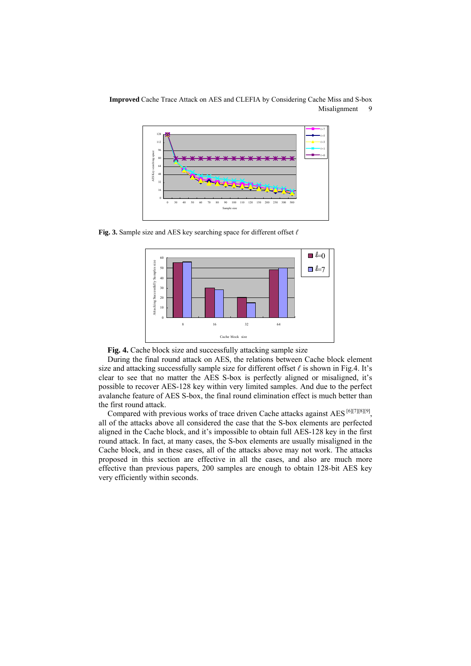

**Fig. 3.** Sample size and AES key searching space for different offset *ℓ*





During the final round attack on AES, the relations between Cache block element size and attacking successfully sample size for different offset *ℓ* is shown in Fig.4. It's clear to see that no matter the AES S-box is perfectly aligned or misaligned, it's possible to recover AES-128 key within very limited samples. And due to the perfect avalanche feature of AES S-box, the final round elimination effect is much better than the first round attack.

Compared with previous works of trace driven Cache attacks against AES  $[6][7][8][9]$  $[6][7][8][9]$  $[6][7][8][9]$  $[6][7][8][9]$  $[6][7][8][9]$  $[6][7][8][9]$ , all of the attacks above all considered the case that the S-box elements are perfected aligned in the Cache block, and it's impossible to obtain full AES-128 key in the first round attack. In fact, at many cases, the S-box elements are usually misaligned in the Cache block, and in these cases, all of the attacks above may not work. The attacks proposed in this section are effective in all the cases, and also are much more effective than previous papers, 200 samples are enough to obtain 128-bit AES key very efficiently within seconds.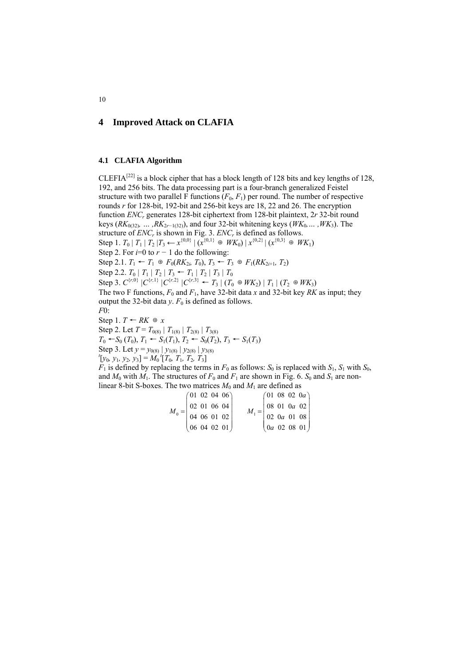# **4 Improved Attack on CLAFIA**

### **4.1 CLAFIA Algorithm**

CLEFIA<sup>[22]</sup> is a block cipher that has a block length of 128 bits and key lengths of 128, 192, and 256 bits. The data processing part is a four-branch generalized Feistel structure with two parallel F functions  $(F_0, F_1)$  per round. The number of respective rounds *r* for 128-bit, 192-bit and 256-bit keys are 18, 22 and 26. The encryption function *ENCr* generates 128-bit ciphertext from 128-bit plaintext, 2*r* 32-bit round  $keys (RK_{0(32)}, …, RK_{2r-1(32)})$ , and four 32-bit whitening keys (*WK*<sub>0</sub>, *…, WK*<sub>3</sub>). The structure of *ENC<sub>r</sub>* is shown in Fig. 3. *ENC<sub>r</sub>* is defined as follows. Step 1. *T*<sub>0</sub> | *T*<sub>1</sub> | *T*<sub>2</sub> | *T*<sub>3</sub> ← *x*<sup>{0,0}</sup> | (*x*<sup>{0,1}</sup> ⊕ *WK*<sub>0</sub>) | *x*<sup>{0,2}</sup> | (*x*<sup>{0,3}</sup> ⊕ *WK*<sub>1</sub>) Step 2. For  $i=0$  to  $r-1$  do the following: Step 2.1.  $T_1 \leftarrow T_1 \oplus F_0(RK_{2i}, T_0), T_3 \leftarrow T_3 \oplus F_1(RK_{2i+1}, T_2)$ Step 2.2.  $T_0 | T_1 | T_2 | T_3 \leftarrow T_1 | T_2 | T_3 | T_0$ Step 3.  $C^{\{r,0\}}$  | $C^{\{r,1\}}$  | $C^{\{r,2\}}$  | $C^{\{r,3\}}$  ←  $T_3$  |  $(T_0 \oplus WK_2)$  |  $T_1$  |  $(T_2 \oplus WK_3)$ The two F functions,  $F_0$  and  $F_1$ , have 32-bit data *x* and 32-bit key *RK* as input; they output the 32-bit data  $y$ .  $F_0$  is defined as follows. *F*0: Step 1.  $T \leftarrow RK \oplus x$ Step 2. Let  $T = T_{0(8)} | T_{1(8)} | T_{2(8)} | T_{3(8)}$ *T*<sub>0</sub> ← *S*<sub>0</sub> (*T*<sub>0</sub>), *T*<sub>1</sub> ← *S*<sub>1</sub>(*T*<sub>1</sub>), *T*<sub>2</sub> ← *S*<sub>0</sub>(*T*<sub>2</sub>), *T*<sub>3</sub> ← *S*<sub>1</sub>(*T*<sub>3</sub>) Step 3. Let  $y = y_{0(8)} | y_{1(8)} | y_{2(8)} | y_{3(8)}$  $[y_0, y_1, y_2, y_3] = M_0^t[T_0, T_1, T_2, T_3]$  $\overline{F}_1$  is defined by replacing the terms in  $F_0$  as follows:  $S_0$  is replaced with  $S_1$ ,  $S_1$  with  $S_0$ , and  $M_0$  with  $M_1$ . The structures of  $F_0$  and  $F_1$  are shown in Fig. 6.  $S_0$  and  $S_1$  are nonlinear 8-bit S-boxes. The two matrices  $M_0$  and  $M_1$  are defined as

$$
M_0 = \begin{pmatrix} 01 & 02 & 04 & 06 \\ 02 & 01 & 06 & 04 \\ 04 & 06 & 01 & 02 \\ 06 & 04 & 02 & 01 \end{pmatrix} \qquad M_1 = \begin{pmatrix} 01 & 08 & 02 & 0a \\ 08 & 01 & 0a & 02 \\ 02 & 0a & 01 & 08 \\ 0a & 02 & 08 & 01 \end{pmatrix}
$$

10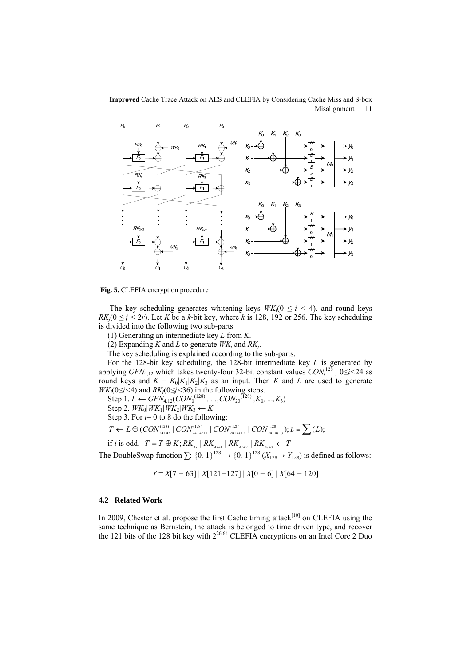

**Fig. 5.** CLEFIA encryption procedure

The key scheduling generates whitening keys  $W K_i (0 \le i \le 4)$ , and round keys *RK<sub>i</sub>*( $0 \leq j \leq 2r$ ). Let *K* be a *k*-bit key, where *k* is 128, 192 or 256. The key scheduling is divided into the following two sub-parts.

(1) Generating an intermediate key *L* from *K*.

(2) Expanding *K* and *L* to generate  $W K_i$  and  $R K_j$ .

The key scheduling is explained according to the sub-parts.

For the 128-bit key scheduling, the 128-bit intermediate key *L* is generated by applying *GFN*<sub>4,12</sub> which takes twenty-four 32-bit constant values  $CON<sub>i</sub><sup>128</sup>$ ,  $0 \le i < 24$  as round keys and  $K = K_0|K_1|K_2|K_3$  as an input. Then K and L are used to generate *WK*<sub>*i*</sub>(0 $\leq i$ <4) and *RK*<sub>*j*</sub>(0 $\leq j$ <36) in the following steps.

Step 1*. L* ← *GFN*<sub>4,12</sub>(*CON*<sub>0</sub><sup>(128)</sup> *, ...,CON*<sub>23</sub><sup>(128)</sup> *,K*<sub>0</sub>*, ...,K*<sub>3</sub>)

Step 2.  $WK_0|WK_1|WK_2|WK_3 \leftarrow K$ 

Step 3. For  $i=0$  to 8 do the following:

$$
T \leftarrow L \oplus (CON_{24+4i}^{(128)} \mid CON_{24+4i+1}^{(128)} \mid CON_{24+4i+2}^{(128)} \mid CON_{24+4i+3}^{(128)}); L = \sum (L);
$$

if *i* is odd.  $T = T \oplus K$ ;  $RK_{A_i} | RK_{A_{i+1}} | RK_{A_{i+2}} | RK_{A_{i+3}} \leftarrow T$ 

The DoubleSwap function  $\sum$ : {0, 1}<sup>128</sup>  $\rightarrow$  {0, 1}<sup>128</sup> ( $X_{128} \rightarrow Y_{128}$ ) is defined as follows:

$$
Y = X[7 - 63] |X[121 - 127] |X[0 - 6] |X[64 - 120]
$$

### **4.2 Related Work**

In 2009, Chester et al. propose the first Cache timing attack $[10]$  on CLEFIA using the same technique as Bernstein, the attack is belonged to time driven type, and recover the 121 bits of the 128 bit key with  $2^{26.64}$  CLEFIA encryptions on an Intel Core 2 Duo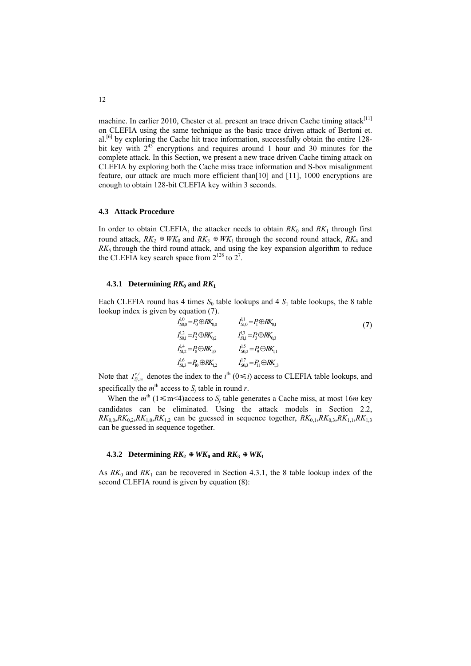machine. In earlier 2010, Chester et al. present an trace driven Cache timing attack[ $11$ ] on CLEFIA using the same technique as the basic trace driven attack of Bertoni et.  $al.^{[6]}$  $al.^{[6]}$  $al.^{[6]}$  by exploring the Cache hit trace information, successfully obtain the entire 128bit key with  $2^{43}$  encryptions and requires around 1 hour and 30 minutes for the complete attack. In this Section, we present a new trace driven Cache timing attack on CLEFIA by exploring both the Cache miss trace information and S-box misalignment feature, our attack are much more efficient than[[10\]](#page-16-9) and [[11\]](#page-17-0), 1000 encryptions are enough to obtain 128-bit CLEFIA key within 3 seconds.

### **4.3 Attack Procedure**

In order to obtain CLEFIA, the attacker needs to obtain  $RK_0$  and  $RK_1$  through first round attack,  $RK_2 \oplus WK_0$  and  $RK_3 \oplus WK_1$  through the second round attack,  $RK_4$  and  $RK<sub>5</sub>$  through the third round attack, and using the key expansion algorithm to reduce the CLEFIA key search space from  $2^{128}$  to  $2^7$ .

### **4.3.1 Determining**  $RK_0$  **and**  $RK_1$

Each CLEFIA round has 4 times  $S_0$  table lookups and 4  $S_1$  table lookups, the 8 table lookup index is given by equation (7).

$$
I_{S_{0,0}}^{1,0} = P_0 \oplus R K_{0,0} \qquad I_{S_{1,0}}^{1,1} = P_1 \oplus R K_{0,1} \nI_{S_{0,1}}^{1,2} = P_2 \oplus R K_{0,2} \qquad I_{S_{1,1}}^{1,3} = P_3 \oplus R K_{0,3} \nI_{S_{1,2}}^{1,4} = P_8 \oplus R K_{1,0} \qquad I_{S_{0,2}}^{1,5} = P_0 \oplus R K_{1,1} \nI_{S_{1,3}}^{1,6} = P_{10} \oplus R K_{1,2} \qquad I_{S_{0,3}}^{1,7} = P_{11} \oplus R K_{1,3}
$$
\n(7)

Note that  $I_{S_i,m}^{r,i}$  denotes the index to the  $i^{\text{th}}$  ( $0 \le i$ ) access to CLEFIA table lookups, and specifically the  $m<sup>th</sup>$  access to  $S_j$  table in round *r*.

When the  $m^{\text{th}}$  (1  $\leq$  m < 4) access to *S<sub>j</sub>* table generates a Cache miss, at most 16*m* key candidates can be eliminated. Using the attack models in Section 2.2,  $RK_{0,0}, RK_{0,2}, RK_{1,0}, RK_{1,2}$  can be guessed in sequence together,  $RK_{0,1}, RK_{0,3}, RK_{1,1}, RK_{1,3}$ can be guessed in sequence together.

#### **4.3.2** Determining  $RK_2 \oplus WK_0$  and  $RK_3 \oplus WK_1$

As  $RK_0$  and  $RK_1$  can be recovered in Section 4.3.1, the 8 table lookup index of the second CLEFIA round is given by equation (8):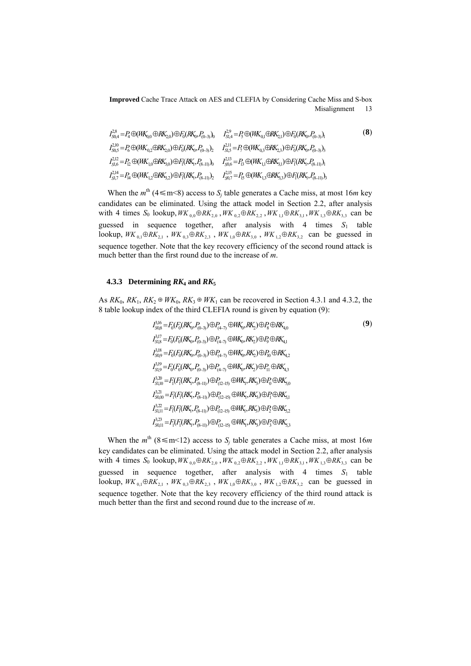$$
I_{S0,4}^{2,8} = P_4 \oplus (WK_{0,0} \oplus RK_{2,0}) \oplus F_0(RK_0, P_{(0-3)})_0 \qquad I_{S1,4}^{2,9} = P_5 \oplus (WK_{0,1} \oplus RK_{2,1}) \oplus F_0(RK_0, P_{(0-3)})_1
$$
\n
$$
I_{S0,5}^{2,10} = P_6 \oplus (WK_{0,2} \oplus RK_{2,0}) \oplus F_0(RK_0, P_{(0-3)})_2 \qquad I_{S1,5}^{2,11} = P_7 \oplus (WK_{0,3} \oplus RK_{2,3}) \oplus F_0(RK_0, P_{(0-3)})_3
$$
\n
$$
I_{S1,6}^{2,12} = P_1 \oplus (WK_{1,0} \oplus RK_{3,0}) \oplus F_1(RK_1, P_{(8-11)})_0 \qquad I_{S0,6}^{2,15} = P_{13} \oplus (WK_{1,1} \oplus RK_{3,1}) \oplus F_1(RK_1, P_{(8-11)})_1
$$
\n
$$
I_{S1,7}^{2,14} = P_{14} \oplus (WK_{1,2} \oplus RK_{3,2}) \oplus F_1(RK_1, P_{(8-11)})_2 \qquad I_{S0,7}^{2,15} = P_{15} \oplus (WK_{1,3} \oplus RK_{3,3}) \oplus F_1(RK_1, P_{(8-11)})_3
$$
\n
$$
(8)
$$

When the  $m^{\text{th}}$  (4  $\leq$  m  $\leq$ 8) access to *S<sub>j</sub>* table generates a Cache miss, at most 16*m* key candidates can be eliminated. Using the attack model in Section 2.2, after analysis with 4 times  $S_0$  lookup,  $WK_{0,0} \oplus RK_{2,0}$ ,  $WK_{0,2} \oplus RK_{2,2}$ ,  $WK_{1,1} \oplus RK_{3,1}$ ,  $WK_{1,3} \oplus RK_{3,3}$  can be guessed in sequence together, after analysis with  $4$  times  $S_1$  table lookup,  $W K_{0,1} \oplus R K_{2,1}$ ,  $W K_{0,3} \oplus R K_{2,3}$ ,  $W K_{1,0} \oplus R K_{3,0}$ ,  $W K_{1,2} \oplus R K_{3,2}$  can be guessed in sequence together. Note that the key recovery efficiency of the second round attack is much better than the first round due to the increase of *m*.

### **4.3.3 Determining**  $RK_4$  **and**  $RK_5$

3,16

As  $RK_0$ ,  $RK_1$ ,  $RK_2 \oplus WK_0$ ,  $RK_3 \oplus WK_1$  can be recovered in Section 4.3.1 and 4.3.2, the 8 table lookup index of the third CLEFIA round is given by equation (9):

$$
I_{50,9}^{3,16} = F_0(F_0(RK_0, P_{(0-3)}) \oplus P_{(4-7)} \oplus MK_0, RK_2) \oplus P_8 \oplus RK_{4,0}
$$
  
\n
$$
I_{51,8}^{3,17} = F_0(F_0(RK_0, P_{(0-3)}) \oplus P_{(4-7)} \oplus MK_0, RK_2) \oplus P_9 \oplus RK_{4,1}
$$
  
\n
$$
I_{50,9}^{3,18} = F_0(F_0(RK_0, P_{(0-3)}) \oplus P_{(4-7)} \oplus MK_0, RK_2) \oplus P_{10} \oplus RK_{4,2}
$$
  
\n
$$
I_{51,9}^{3,19} = F_0(F_0(RK_0, P_{(0-3)}) \oplus P_{(4-7)} \oplus MK_0, RK_2) \oplus P_{11} \oplus RK_{4,3}
$$
  
\n
$$
I_{51,10}^{3,21} = F_1(F_1(RK_1, P_{(8-11)}) \oplus P_{(12-15)} \oplus MK_1, RK_3) \oplus P_1 \oplus RK_{5,1}
$$
  
\n
$$
I_{51,11}^{3,22} = F_1(F_1(RK_1, P_{(8-11)}) \oplus P_{(12-15)} \oplus MK_1, RK_3) \oplus P_1 \oplus RK_{5,2}
$$
  
\n
$$
I_{51,11}^{3,23} = F_1(F_1(RK_1, P_{(8-11)}) \oplus P_{(12-15)} \oplus MK_1, RK_3) \oplus P_2 \oplus RK_{5,2}
$$
  
\n
$$
I_{50,11}^{3,23} = F_1(F_1(RK_1, P_{(8-11)}) \oplus P_{(12-15)} \oplus MK_1, RK_3) \oplus P_3 \oplus RK_{5,3}
$$

 $(9)$ 

When the  $m^{\text{th}}$  (8 \less m < 12) access to  $S_j$  table generates a Cache miss, at most 16*m* key candidates can be eliminated. Using the attack model in Section 2.2, after analysis with 4 times  $S_0$  lookup,  $WK_{0,0} \oplus RK_{2,0}$ ,  $WK_{0,2} \oplus RK_{2,2}$ ,  $WK_{1,1} \oplus RK_{3,1}$ ,  $WK_{1,3} \oplus RK_{3,3}$  can be guessed in sequence together, after analysis with  $4$  times  $S_1$  table lookup,  $WK_{0,1} \oplus RK_{2,1}$ ,  $WK_{0,3} \oplus RK_{2,3}$ ,  $WK_{1,0} \oplus RK_{3,0}$ ,  $WK_{1,2} \oplus RK_{3,2}$  can be guessed in sequence together. Note that the key recovery efficiency of the third round attack is much better than the first and second round due to the increase of *m*.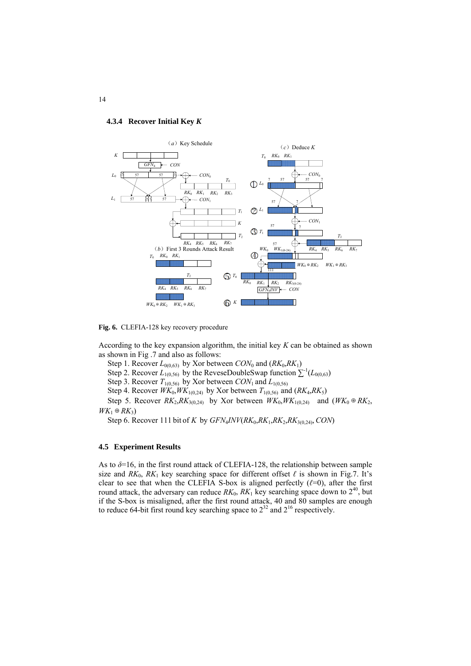#### **4.3.4 Recover Initial Key** *K*



**Fig. 6.** CLEFIA-128 key recovery procedure

According to the key expansion algorithm, the initial key *K* can be obtained as shown as shown in Fig .7 and also as follows:

Step 1. Recover  $L_{0(0,63)}$  by Xor between  $CON_0$  and  $(RK_0, RK_1)$ 

Step 2. Recover  $L_{1(0,56)}$  by the ReveseDoubleSwap function  $\sum^{-1}(L_{0(0,63)})$ 

Step 3. Recover  $T_{1(0,56)}$  by Xor between  $CON_1$  and  $L_{1(0,56)}$ 

Step 4. Recover  $WK_0, WK_{1(0,24)}$  by Xor between  $T_{1(0,56)}$  and  $(RK_4, RK_5)$ 

Step 5. Recover  $RK_2, RK_{3(0,24)}$  by Xor between  $WK_0, WK_{1(0,24)}$  and  $(WK_0 \oplus RK_2)$ ,  $WK_1 ⊕ RK_3)$ 

Step 6. Recover 111 bit of *K* by  $GFN_4INV(RK_0, RK_1, RK_2, RK_{3(0,24)}$ , *CON*)

#### **4.5 Experiment Results**

As to  $\delta$ =16, in the first round attack of CLEFIA-128, the relationship between sample size and  $RK_0$ ,  $RK_1$  key searching space for different offset  $\ell$  is shown in Fig.7. It's clear to see that when the CLEFIA S-box is aligned perfectly  $(\ell=0)$ , after the first round attack, the adversary can reduce  $RK_0$ ,  $RK_1$  key searching space down to  $2^{40}$ , but if the S-box is misaligned, after the first round attack, 40 and 80 samples are enough to reduce 64-bit first round key searching space to  $2^{32}$  and  $2^{16}$  respectively.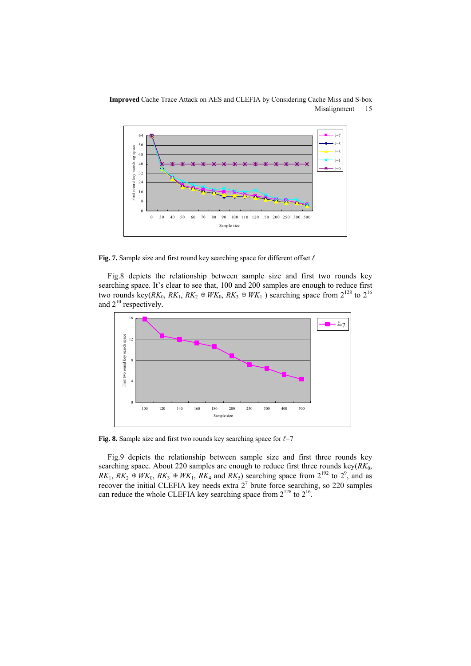

**Fig. 7.** Sample size and first round key searching space for different offset *ℓ*

Fig.8 depicts the relationship between sample size and first two rounds key searching space. It's clear to see that, 100 and 200 samples are enough to reduce first two rounds key( $RK_0$ ,  $RK_1$ ,  $RK_2 \oplus WK_0$ ,  $RK_3 \oplus WK_1$ ) searching space from  $2^{128}$  to  $2^{16}$ and  $2^{10}$  respectively.



**Fig. 8.** Sample size and first two rounds key searching space for *ℓ*=7

Fig.9 depicts the relationship between sample size and first three rounds key searching space. About 220 samples are enough to reduce first three rounds key( $RK<sub>0</sub>$ ,  $RK_1, RK_2 \oplus WK_0, RK_3 \oplus WK_1, RK_4$  and  $RK_5$ ) searching space from  $2^{192}$  to  $2^9$ , and as recover the initial CLEFIA key needs extra  $2<sup>7</sup>$  brute force searching, so 220 samples can reduce the whole CLEFIA key searching space from  $2^{128}$  to  $2^{16}$ .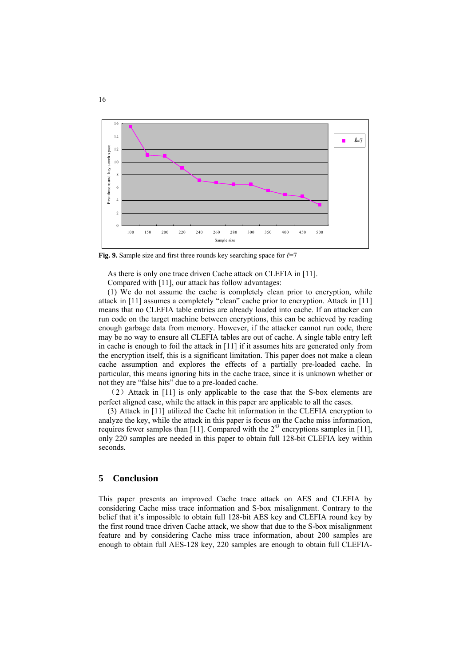

**Fig. 9.** Sample size and first three rounds key searching space for *ℓ*=7

As there is only one trace driven Cache attack on CLEFIA in [\[11](#page-17-0)].

Compared with [[11\]](#page-17-0), our attack has follow advantages:

(1) We do not assume the cache is completely clean prior to encryption, while attack in [[11\]](#page-17-0) assumes a completely "clean" cache prior to encryption. Attack in [\[11](#page-17-0)] means that no CLEFIA table entries are already loaded into cache. If an attacker can run code on the target machine between encryptions, this can be achieved by reading enough garbage data from memory. However, if the attacker cannot run code, there may be no way to ensure all CLEFIA tables are out of cache. A single table entry left in cache is enough to foil the attack in [\[11](#page-17-0)] if it assumes hits are generated only from the encryption itself, this is a significant limitation. This paper does not make a clean cache assumption and explores the effects of a partially pre-loaded cache. In particular, this means ignoring hits in the cache trace, since it is unknown whether or not they are "false hits" due to a pre-loaded cache.

(2)Attack in [\[11](#page-17-0)] is only applicable to the case that the S-box elements are perfect aligned case, while the attack in this paper are applicable to all the cases.

(3) Attack in [\[11](#page-17-0)] utilized the Cache hit information in the CLEFIA encryption to analyze the key, while the attack in this paper is focus on the Cache miss information, requires fewer samples than [[11\]](#page-17-0). Compared with the  $2^{43}$  encryptions samples in [11], only 220 samples are needed in this paper to obtain full 128-bit CLEFIA key within seconds.

#### **5 Conclusion**

This paper presents an improved Cache trace attack on AES and CLEFIA by considering Cache miss trace information and S-box misalignment. Contrary to the belief that it's impossible to obtain full 128-bit AES key and CLEFIA round key by the first round trace driven Cache attack, we show that due to the S-box misalignment feature and by considering Cache miss trace information, about 200 samples are enough to obtain full AES-128 key, 220 samples are enough to obtain full CLEFIA-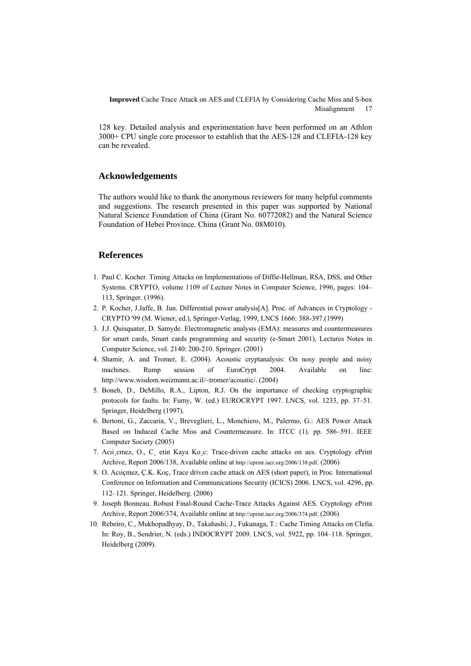128 key. Detailed analysis and experimentation have been performed on an Athlon 3000+ CPU single core processor to establish that the AES-128 and CLEFIA-128 key can be revealed.

# **Acknowledgements**

The authors would like to thank the anonymous reviewers for many helpful comments and suggestions. The research presented in this paper was supported by National Natural Science Foundation of China (Grant No. 60772082) and the Natural Science Foundation of Hebei Province. China (Grant No. 08M010).

### **References**

- <span id="page-16-0"></span>1. Paul C. Kocher. Timing Attacks on Implementations of Diffie-Hellman, RSA, DSS, and Other Systems. CRYPTO, volume 1109 of Lecture Notes in Computer Science, 1996, pages: 104– 113, Springer. (1996).
- <span id="page-16-1"></span>2. P. Kocher, J.Jaffe, B. Jun. Differential power analysis[A]. Proc. of Advances in Cryptology - CRYPTO '99 (M. Wiener, ed.), Springer-Verlag, 1999, LNCS 1666: 388-397.(1999)
- <span id="page-16-2"></span>3. J.J. Quisquater, D. Samyde. Electromagnetic analysis (EMA): measures and countermeasures for smart cards, Smart cards programming and security (e-Smart 2001), Lectures Notes in Computer Science, vol. 2140: 200-210. Springer. (2001)
- <span id="page-16-3"></span>4. Shamir, A. and Tromer, E. (2004). Acoustic cryptanalysis: On nosy people and noisy machines. Rump session of EuroCrypt 2004. Available on line: [http://www.wisdom.weizmann.ac.il/~tromer/acoustic/.](http://www.wisdom.weizmann.ac.il/%7Etromer/acoustic/) (2004)
- <span id="page-16-4"></span>5. Boneh, D., DeMillo, R.A., Lipton, R.J. On the importance of checking cryptographic protocols for faults. In: Fumy, W. (ed.) EUROCRYPT 1997. LNCS, vol. 1233, pp. 37–51. Springer, Heidelberg (1997).
- <span id="page-16-5"></span>6. Bertoni, G., Zaccaria, V., Breveglieri, L., Monchiero, M., Palermo, G.: AES Power Attack Based on Induced Cache Miss and Countermeasure. In: ITCC (1). pp. 586–591. IEEE Computer Society (2005)
- <span id="page-16-6"></span>7. Acıi¸cmez, O., C¸ etin Kaya Ko¸c: Trace-driven cache attacks on aes. Cryptology ePrint Archive, Report 2006/138, Available online at [http://eprint.iacr.org/2006/138.pdf.](http://eprint.iacr.org/2006/138.pdf) (2006)
- <span id="page-16-7"></span>8. O. Acıiçmez, Ç.K. Koç, Trace driven cache attack on AES (short paper), in Proc. International Conference on Information and Communications Security (ICICS) 2006. LNCS, vol. 4296, pp. 112–121. Springer, Heidelberg. (2006)
- 9. Joseph Bonneau. Robust Final-Round Cache-Trace Attacks Against AES. Cryptology ePrint Archive, Report 2006/374, Available online at<http://eprint.iacr.org/2006/374.pdf.>(2006)
- <span id="page-16-9"></span><span id="page-16-8"></span>10. Rebeiro, C., Mukhopadhyay, D., Takahashi, J., Fukunaga, T.: Cache Timing Attacks on Clefia. In: Roy, B., Sendrier, N. (eds.) INDOCRYPT 2009. LNCS, vol. 5922, pp. 104–118. Springer, Heidelberg (2009).